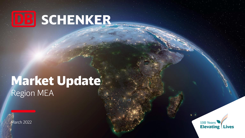# DB SCHENKER

# Market Update Region MEA

March 2022

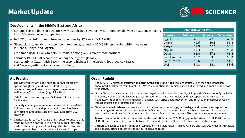### Market Update



### **Developments in the Middle East and Africa**

- ‒ Ethiopia seeks billions in FDIs for newly established sovereign wealth fund by allowing private investments in its 40+ state-owned companies
- ‒ In 2021, the UAE's non-oil foreign trade grew by 27% to AED 1.9 trillion
- ‒ Ghana plans to establish a green bond exchange, targeting USD 5 billion in sales within five years in Ghana, Kenya, and Nigeria
- ‒ Free trade deal is likely to help UK remain among GCC's major trade partners
- ‒ February PMIs in MEA countries among the highest globally, particularly in Qatar (with 61.4 – the second highest in the world), South Africa (58.6), and Nigeria (with 57.3 at a 27-months high)

#### **Manufacturing PMI** Febuary  $I$ anuarv December **Country** 48.1 47.9 49.0 Egypt 50.8 Ghana 49.6 51.8  $52.9$ 47.6 53.7 Kenya Nigeria 57.3  $52.0$  $50.8$ 57.6 61.4 61.4 **Oatar** 53.2 Saudi Arabia  $56.2$ 53.9  $57.1$ South Africa 58.6  $54.1$ **UAE**  $54.1$ 54.8 55.6.

### **Air Freight**

- ‒ The Omicron variant continues to impact air freight operations globally and has resulted in flight cancellations, lockdowns, shortages of manpower as well as travel restrictions (e.g., FRA Hub)
- ‒ PVG Airport is operating, and Schenker CFSs are open for business
- ‒ Capacity challenges remain in the market. All available freighters are already deployed and in service. New conversions and orders are only available from 2024 onwards
- ‒ Carriers are forced to change their routes to ensure that trade routes can continue to be served. This inevitably leads to the emergence of backlogs that have already been reported from major hubs in Asia and Europe

### **Ocean Freight**

- ‒ The COVID-19 outbreak **situation in South China and Hong Kong** remains critical. Shenzhen and Dongguan announced a lockdown from March 14 - March 20. Yantian port remains open but with reduced capacity and lower productivity
- ‒ North China, Changchun and Jilin announced citywide lockdowns. As a result, pickup and delivery are only available in Beijing, Hebei, and the Shandong areas. In addition, a negative nucleic acid test report within 48 hours is mandatory for people to travel through Shanghai. Such strict Covid prevention and restriction measures severely impact shipping and logistics activities
- ‒ Shortage of **truck drivers** and truck capacity is impacting pre-carriage, on-carriage, and domestic transportation. Container gate-in to terminals and container deliveries to surrounding cities have been disrupted. Factories are temporarily shut down for 48 hours to conduct the nucleic acid test, which is likely to reduce cargo movement
- ‒ **Bunker prices** continue to increase. Within the past 30 days, the VLSFO Singapore has risen from USD 700/mt to USD 900/mt. The ongoing conflict between Russia and Ukraine will have a further effect on the fuel price
- ‒ Carriers are eager to deploy additional capacity on high yield trades such as Asia-EU and Asia-US, which in turn leads to a capacity crunch on other trades, thus increasing rates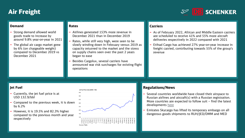# Air Freight



### **Demand**

- ‒ Strong demand allowed world goods trade to increase by around 9.8% year-on-year in 2021
- The global air cargo market grew by 6% (on chargeable weight) compared to December 2019 vs December 2021

### **Rates**

- ‒ Airlines generated 153% more revenue in December 2021 than in December 2019
- Rates, while still very high, were seen to be slowly winding down in February versus 2019 as capacity returned to the market and the stress on supply chains seen over the past 2 years began to ease
- ‒ Besides Cargolux, several carriers have announced war risk surcharges for existing flight operations

### **Carriers**

- As of February 2022, African and Middle Eastern carriers are scheduled to receive 41% and 55% more aircraft deliveries respectively in 2022 compared with 2021
- ‒ Etihad Cargo has achieved 27% year-on-year increase in freight carried, contributing towards 55% of the group's revenue

### **Jet Fuel**

- ‒ Currently, the jet fuel price is at USD 132.9/bbl
- Compared to the previous week, it is down by 6.2%
- ‒ However, it is 19.5% and 82.3% higher compared to the previous month and year respectively



### **Regulations/News**

- Several countries worldwide have closed their airspace to Russian airlines and aircraft(s) with a Russian registration. More countries are expected to follow suit – find the latest developments [here](https://www.euronews.com/travel/2022/02/24/ukraine-travel-all-the-airlines-and-countries-that-have-been-affected-so-far)
- ‒ Emirates Skycargo has lifted its temporary embargo on all dangerous goods shipments to RUH/JED/DMM and MED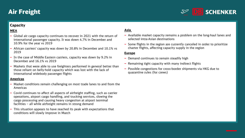

### **Capacity**

### **MEA**

- ‒ Global air cargo capacity continues to recover in 2021 with the return of international passenger capacity. It was down 4.7% in December and 10.9% for the year vs 2019
- ‒ African carriers' capacity was down by 20.8% in December and 10.1% vs 2019
- In the case of Middle Eastern carriers, capacity was down by 9.2% in December and 16.1% vs 2019
- Markets that were able to use freighters performed in general better than those reliant on belly-hold capacity which was lost with the lack of international widebody passenger flights

### **Americas**

- ‒ Market conditions remain challenging on most trade lanes to and from the Americas
- ‒ Covid continues to affect all aspects of airfreight staffing, such as carrier operations, airport cargo handling, and trucking services, slowing the cargo processing and causing heavy congestion at airport terminal facilities – all while airfreight remains in strong demand
- ‒ This situation appears to have reached its peak with expectations that conditions will slowly improve in March

### **Asia**

- ‒ Available market capacity remains a problem on the long-haul lanes and selected intra-Asian destinations
- ‒ Some flights in the region are currently canceled in order to prioritize charter flights, affecting capacity supply in the region

### **Europe**

- Demand continues to remain steadily high
- Remaining tight capacity with many indirect flights
- ‒ Possible congestions for cross-border shipments via HKG due to quarantine rules (for crews)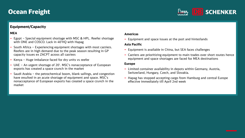

### **Equipment/Capacity**

### **MEA**

- ‒ Egypt Special equipment shortage with MSC & HPL. Reefer shortage with ONE and COSCO. Lack in 40'HQ with Hapag
- ‒ South Africa Experiencing equipment shortages with most carriers. Reefers are in high demand due to the peak season resulting in GP capacity issues ex ZACPT across all carriers
- ‒ Kenya Huge imbalance faced for dry units vs reefer
- ‒ UAE An urgent shortage of 20'. MSC's nonacceptance of European exports has created a space crunch in the market
- Saudi Arabia the petrochemical boom, blank sailings, and congestion have resulted in an acute shortage of equipment and space. MSC's nonacceptance of European exports has created a space crunch in the market

### **Americas**

‒ Equipment and space issues at the port and hinterlands

### **Asia Pacific**

- ‒ Equipment is available in China, but SEA faces challenges
- ‒ Carriers are prioritizing equipment to main trades over short routes hence equipment and space shortages are faced for MEA destinations

### **Europe**

- ‒ Limited container availability in depots within Germany, Austria, Switzerland, Hungary, Czech, and Slovakia.
- Hapag has stopped accepting cargo from Hamburg and central Europe effective immediately till April 2nd week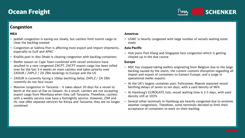

### **Congestion**

### **MEA**

- Jeddah congestion is easing out slowly, but carriers limit transit cargo to clear the backlog created
- ‒ Congestion at Sokhna Port is affecting most export and import shipments, especially to Gulf and APAC
- ‒ Khalifa port in Abu Dhabi is clearing congestion with backlog containers
- ‒ Reefer season ex Cape Town combined with vessel omissions have resulted in a very congested ZACPT. ZACPT export cargo has been rolled over for the last 3-4 weeks on main carriers and takes priority over ZADUR / ZAPLZ / ZA ZBA bookings to Europe and the US
- ‒ ZADUR is currently facing a 10day berthing delay; ZAPLZ / ZA ZBA currently do not face issues
- Massive congestion in Tanzania it takes about 20 days for a vessel to berth at the port of Dar es Salaam. As a result, carriers are not accepting export cargo from Mombasa when they call Tanzania. Therefore, carriers with a weekly service now have a fortnightly service. However, ZIM and HL now offer separate services for Kenya and Tanzania; they are no longer combined

### **Americas**

‒ USWC is heavily congested with large number of vessels waiting outer roads

#### **Asia Pacific**

- Hub ports Port Klang and Singapore face congestion which is getting cleared up in the due course

#### **Europe**

- MSC has stopped taking reefers originating from Belgium due to the large backlog caused by the storm, the current customs disruption regarding all import and export of containers to Eastern Europe, and a surge in operational reefer exports
- ‒ At the UK's largest container port, Felixstowe, Maersk reported vessel berthing delays of seven to ten days, with a yard density of 96%
- ‒ At Hamburg's EUROGATE hub, vessel waiting time is 2-3 days, with yard density still at 103%
- Several other terminals in Hamburg are heavily congested due to extreme weather congestions. Therefore, some terminals decided to limit their acceptance of containers to work on their backlog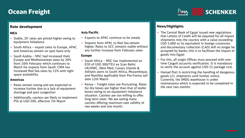

### **Rate development**

### **MEA**

- ‒ Stable, 20' rates are priced higher owing to equipment imbalance
- South Africa export rates to Europe, APAC and Americas remain on spot basis only
- ‒ Saudi Arabia MSC had increased their Europe and Mediterranean rates by 20% from 10th February which continues to March for exports from Saudi. CMA has increased Red Sea rates by 15% with tight space availability

#### **Americas**

- Rates remain strong and are expected to increase further due to a lack of equipment shortage and port congestion
- ‒ Additionally, carriers are likely to implement PSS at USD 500, effective 7th March

### **Asia Pacific**

- ‒ Exports to APAC continue to be steady
- ‒ Imports from APAC to Red Sea remain higher. Rates to GCC remains stable without any further increase from February rates

#### **Europe**

- ‒ South Africa MSC has implemented an EOS of USD 300/TEU ex Scan Baltic UK/NWC, West Med, Canary Islands & Adriatic ports to South Africa, Mozambique, and Namibia applicable from Pro-Forma sail date 12th March
- ‒ Kenya Freight rates are fluctuating. Rates for dry boxes are higher than that of reefer boxes owing to an equipment imbalance situation. Carriers are not willing to offer long term rates. We are seeing many carriers offering maximum rate validity of two weeks and one month.

### **News/Highlights**

- ‒ The Central Bank of Egypt issued new regulations that Letters of Credit will be required for all import shipments into the country with a value exceeding USD 5,000 or its equivalent in foreign currencies and documentary collection (CAD) will no longer be accepted by banks; this is to facilitate the import of goods into Egypt
- ‒ For this, all origin Offices must proceed with onetime CargoX accounts verification. It is mandatory to verify the account against USD 15 package cost.
- ‒ Hamad Port is restricting the handling of dangerous goods LCL shipments until further notice. Currently, the IMDG warehouse is under maintenance which is expected to be completed in the next two months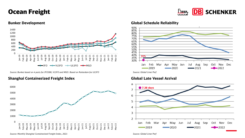



*Source: Bunker based on 4 ports for IFO380, VLSFO and MGO. Based on Rotterdam for ULSFO Source: Global Liner Perf*

### **Shanghai Containerized Freight Index Global Late Vessel Arrival**



**Bunker Development Global Schedule Reliability**





*Source: Monthly Shanghai Containerized Freight Index, 2021 Source: Global Liner Perf*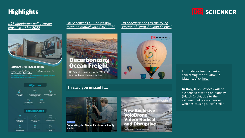## **Highlights**

*[KSA Mandatory palletization](https://mawani.gov.sa/en-us/MediaCenter/NewsCenter/Pages/a2.aspx) effective 1 Mar 2022*



#### **Mawani issues a mandatory**

decision regarding the stowage of the imported cargos via containers into the Kingdom



*DB Schenker's LCL boxes now [move on biofuel with CMA CGM](https://www.youtube.com/watch?v=CWuE7Zm8JQk)*

**Decarbonizing**<br>Ocean Freight DB Schenker partners with CMA CGM to drive biofuel transportation

### **In case you missed it…**

![](_page_8_Picture_10.jpeg)

**New Exclusive** VoloDrone Video: Radical and Disruptive Trailblazer of Future Logistics

![](_page_8_Picture_12.jpeg)

*DB Schenker adds to the flying [success of Qatar Balloon Festival](https://www.dbschenker.com/qa-en/about/press/corporate-news/up-up-and-away-774310)* 

> ‒ For updates from Schenker concerning the situation in Ukraine, click [here](https://www.dbschenker.com/de-en/meta/ukraine-crisis-update)

- In Italy, truck services will be suspended starting on Monday (March 14th), due to the extreme fuel price increase which is causing a local strike

![](_page_8_Picture_15.jpeg)